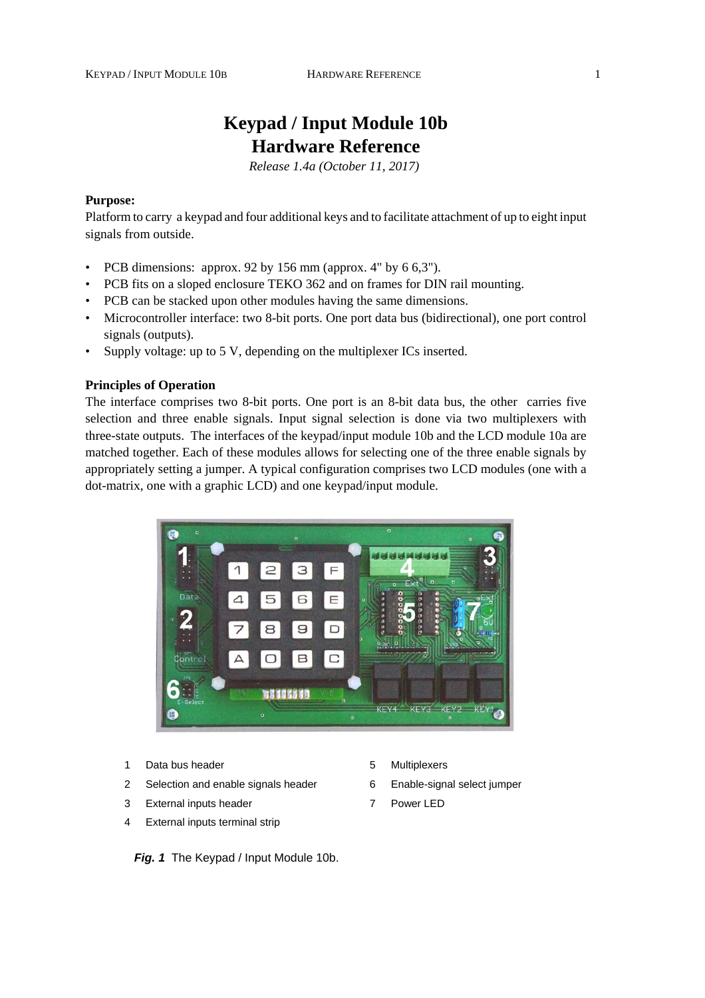# **Keypad / Input Module 10b Hardware Reference**

*Release 1.4a (October 11, 2017)* 

## **Purpose:**

Platform to carry a keypad and four additional keys and to facilitate attachment of up to eight input signals from outside.

- PCB dimensions: approx. 92 by 156 mm (approx. 4" by  $6.63$ ").
- PCB fits on a sloped enclosure TEKO 362 and on frames for DIN rail mounting.
- PCB can be stacked upon other modules having the same dimensions.
- Microcontroller interface: two 8-bit ports. One port data bus (bidirectional), one port control signals (outputs).
- Supply voltage: up to 5 V, depending on the multiplexer ICs inserted.

# **Principles of Operation**

The interface comprises two 8-bit ports. One port is an 8-bit data bus, the other carries five selection and three enable signals. Input signal selection is done via two multiplexers with three-state outputs. The interfaces of the keypad/input module 10b and the LCD module 10a are matched together. Each of these modules allows for selecting one of the three enable signals by appropriately setting a jumper. A typical configuration comprises two LCD modules (one with a dot-matrix, one with a graphic LCD) and one keypad/input module.



- 1 Data bus header 1 1 0 million business by Multiplexers
- 2 Selection and enable signals header 6 Enable-signal select jumper
- 3 External inputs header 7 Power LED
- 4 External inputs terminal strip

*Fig. 1* The Keypad / Input Module 10b.

- 
- 
-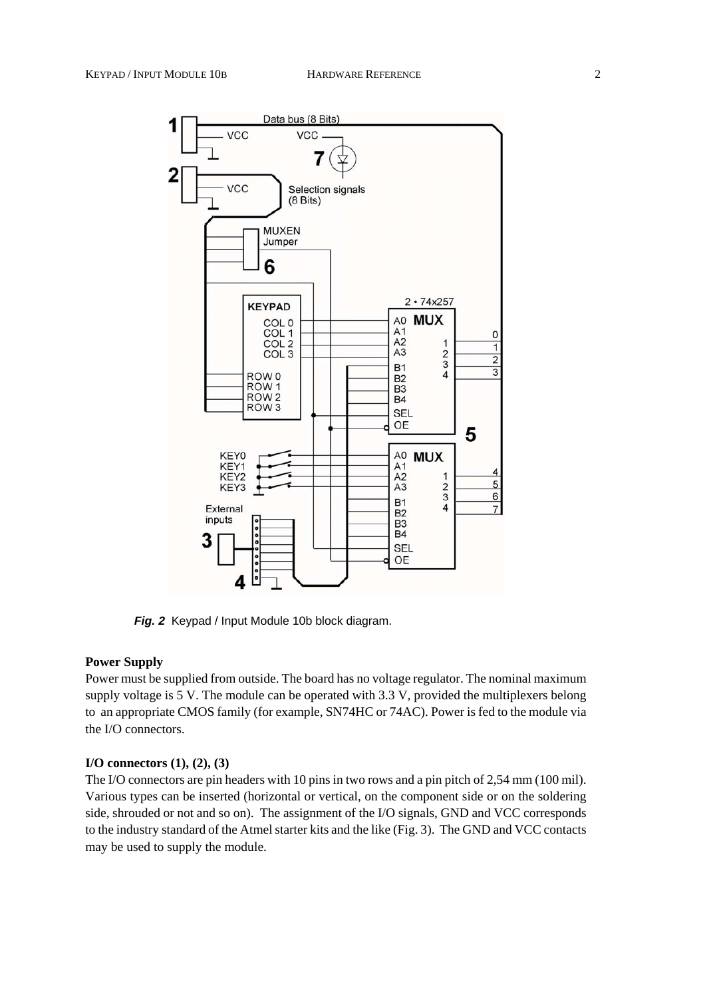

*Fig. 2* Keypad / Input Module 10b block diagram.

#### **Power Supply**

Power must be supplied from outside. The board has no voltage regulator. The nominal maximum supply voltage is 5 V. The module can be operated with 3.3 V, provided the multiplexers belong to an appropriate CMOS family (for example, SN74HC or 74AC). Power is fed to the module via the I/O connectors.

#### **I/O connectors (1), (2), (3)**

The I/O connectors are pin headers with 10 pins in two rows and a pin pitch of 2,54 mm (100 mil). Various types can be inserted (horizontal or vertical, on the component side or on the soldering side, shrouded or not and so on). The assignment of the I/O signals, GND and VCC corresponds to the industry standard of the Atmel starter kits and the like (Fig. 3). The GND and VCC contacts may be used to supply the module.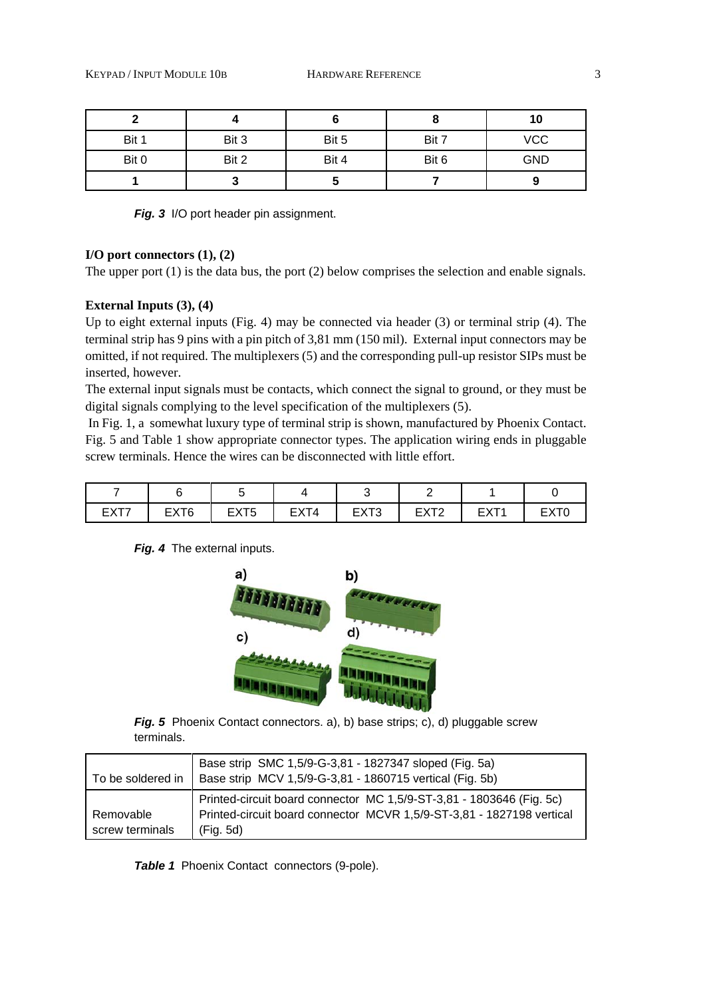|       |       |       |       | 10         |
|-------|-------|-------|-------|------------|
| Bit 1 | Bit 3 | Bit 5 | Bit 7 | <b>VCC</b> |
| Bit 0 | Bit 2 | Bit 4 | Bit 6 | <b>GND</b> |
|       | w     |       |       |            |

*Fig.* 3 I/O port header pin assignment.

#### **I/O port connectors (1), (2)**

The upper port (1) is the data bus, the port (2) below comprises the selection and enable signals.

# **External Inputs (3), (4)**

Up to eight external inputs (Fig. 4) may be connected via header (3) or terminal strip (4). The terminal strip has 9 pins with a pin pitch of 3,81 mm (150 mil). External input connectors may be omitted, if not required. The multiplexers (5) and the corresponding pull-up resistor SIPs must be inserted, however.

The external input signals must be contacts, which connect the signal to ground, or they must be digital signals complying to the level specification of the multiplexers (5).

 In Fig. 1, a somewhat luxury type of terminal strip is shown, manufactured by Phoenix Contact. Fig. 5 and Table 1 show appropriate connector types. The application wiring ends in pluggable screw terminals. Hence the wires can be disconnected with little effort.

| ---- | <b>EYTA</b><br>---- | EXT <sub>5</sub> | YТ4<br><b>FX</b><br>____ | <b>FVT0</b><br>. .<br>ᄂᄉᆝᇰ | <b>FXT?</b><br>---<br>-- | $\sim$<br>--- | ---- |
|------|---------------------|------------------|--------------------------|----------------------------|--------------------------|---------------|------|

*Fig. 4* The external inputs.



*Fig. 5* Phoenix Contact connectors. a), b) base strips; c), d) pluggable screw terminals.

| l To be soldered in | Base strip SMC 1,5/9-G-3,81 - 1827347 sloped (Fig. 5a)<br>Base strip MCV 1,5/9-G-3,81 - 1860715 vertical (Fig. 5b)                            |
|---------------------|-----------------------------------------------------------------------------------------------------------------------------------------------|
| Removable           | Printed-circuit board connector MC 1,5/9-ST-3,81 - 1803646 (Fig. 5c)<br>Printed-circuit board connector MCVR 1,5/9-ST-3,81 - 1827198 vertical |
| screw terminals     | (Fig. 5d)                                                                                                                                     |

*Table 1* Phoenix Contact connectors (9-pole).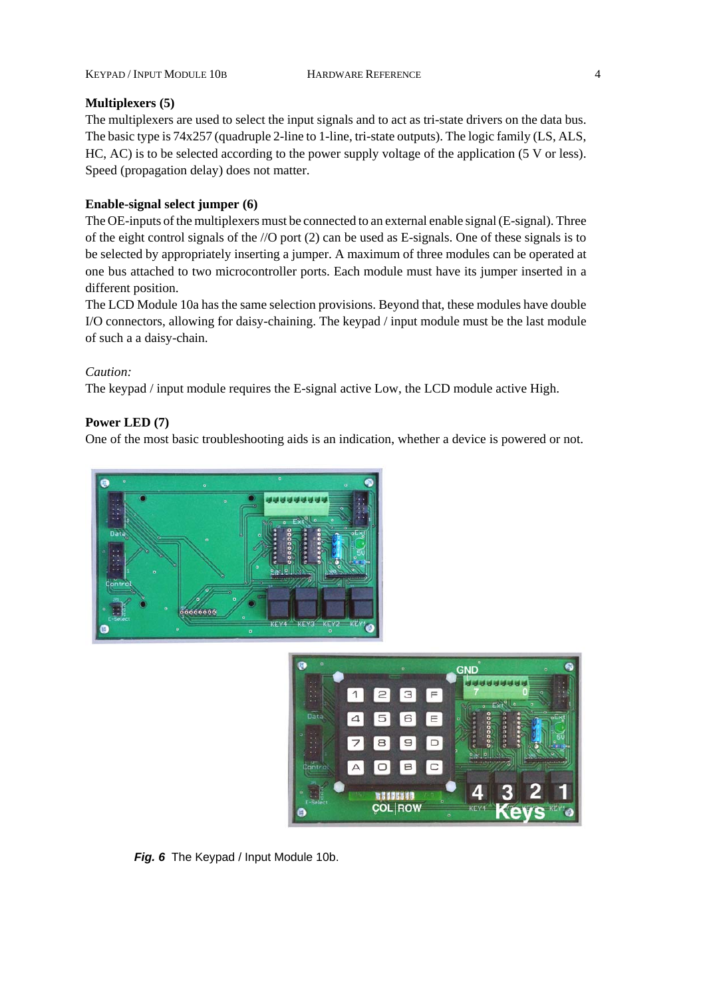#### **Multiplexers (5)**

The multiplexers are used to select the input signals and to act as tri-state drivers on the data bus. The basic type is 74x257 (quadruple 2-line to 1-line, tri-state outputs). The logic family (LS, ALS, HC, AC) is to be selected according to the power supply voltage of the application (5 V or less). Speed (propagation delay) does not matter.

### **Enable-signal select jumper (6)**

The OE-inputs of the multiplexers must be connected to an external enable signal (E-signal). Three of the eight control signals of the //O port (2) can be used as E-signals. One of these signals is to be selected by appropriately inserting a jumper. A maximum of three modules can be operated at one bus attached to two microcontroller ports. Each module must have its jumper inserted in a different position.

The LCD Module 10a has the same selection provisions. Beyond that, these modules have double I/O connectors, allowing for daisy-chaining. The keypad / input module must be the last module of such a a daisy-chain.

*Caution:*

The keypad / input module requires the E-signal active Low, the LCD module active High.

## **Power LED (7)**

One of the most basic troubleshooting aids is an indication, whether a device is powered or not.





*Fig. 6* The Keypad / Input Module 10b.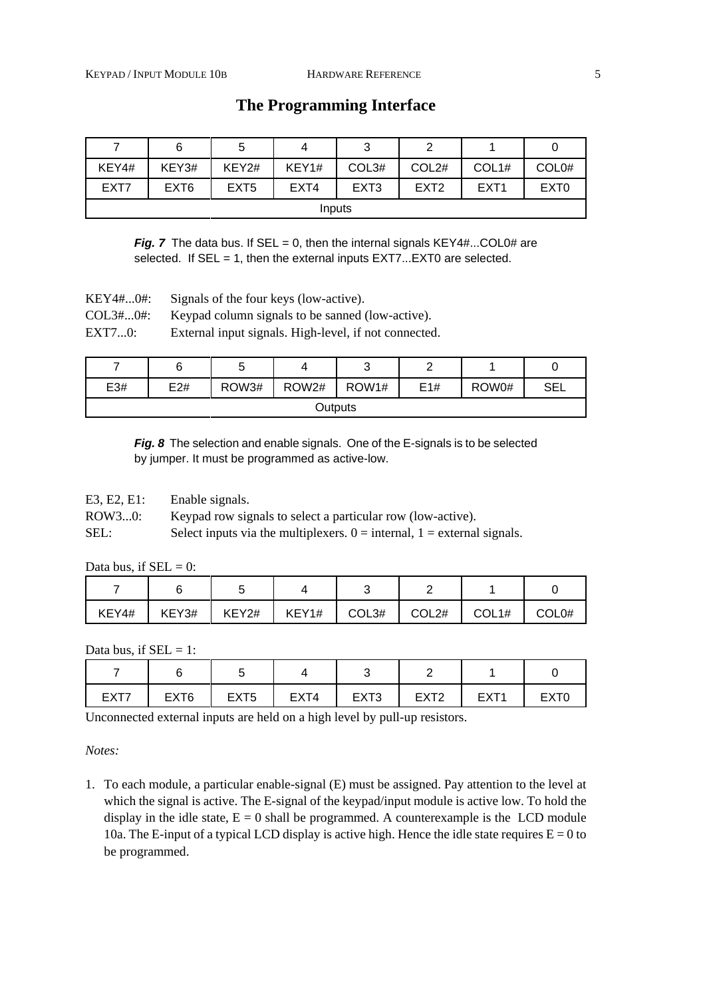|        | 6                | 5                | 4     | ◡                |                  |                  |                   |  |
|--------|------------------|------------------|-------|------------------|------------------|------------------|-------------------|--|
| KEY4#  | KEY3#            | KEY2#            | KEY1# | COL3#            | COL2#            | COL1#            | COL <sub>0#</sub> |  |
| EXT7   | EXT <sub>6</sub> | EXT <sub>5</sub> | EXT4  | EXT <sub>3</sub> | EXT <sub>2</sub> | EXT <sub>1</sub> | EXT <sub>0</sub>  |  |
| Inputs |                  |                  |       |                  |                  |                  |                   |  |

# **The Programming Interface**

*Fig. 7* The data bus. If  $SEL = 0$ , then the internal signals  $KEY4#...COLO#$  are selected. If SEL = 1, then the external inputs EXT7...EXT0 are selected.

KEY4#...0#: Signals of the four keys (low-active).

COL3#...0#: Keypad column signals to be sanned (low-active).

EXT7...0: External input signals. High-level, if not connected.

|         |     |       |       | ັ     |     |       |     |
|---------|-----|-------|-------|-------|-----|-------|-----|
| E3#     | E2# | ROW3# | ROW2# | ROW1# | E1# | ROW0# | SEL |
| Outputs |     |       |       |       |     |       |     |

*Fig. 8* The selection and enable signals. One of the E-signals is to be selected by jumper. It must be programmed as active-low.

E3, E2, E1: Enable signals.

ROW3...0: Keypad row signals to select a particular row (low-active).

SEL: Select inputs via the multiplexers.  $0 =$  internal,  $1 =$  external signals.

Data bus, if  $SEL = 0$ :

| KEY4# | KEY3# | KEY2# | KEY1# | COL3# | COL2# | COL1# | COL0# |
|-------|-------|-------|-------|-------|-------|-------|-------|

Data bus, if  $SEL = 1$ :

| EXT7 | EXT <sub>6</sub> | EXT <sub>5</sub> | EXT4 | EXT <sub>3</sub> | <b>EXT2</b><br>---- | EXT' |  |
|------|------------------|------------------|------|------------------|---------------------|------|--|

Unconnected external inputs are held on a high level by pull-up resistors.

*Notes:*

1. To each module, a particular enable-signal (E) must be assigned. Pay attention to the level at which the signal is active. The E-signal of the keypad/input module is active low. To hold the display in the idle state,  $E = 0$  shall be programmed. A counterexample is the LCD module 10a. The E-input of a typical LCD display is active high. Hence the idle state requires  $E = 0$  to be programmed.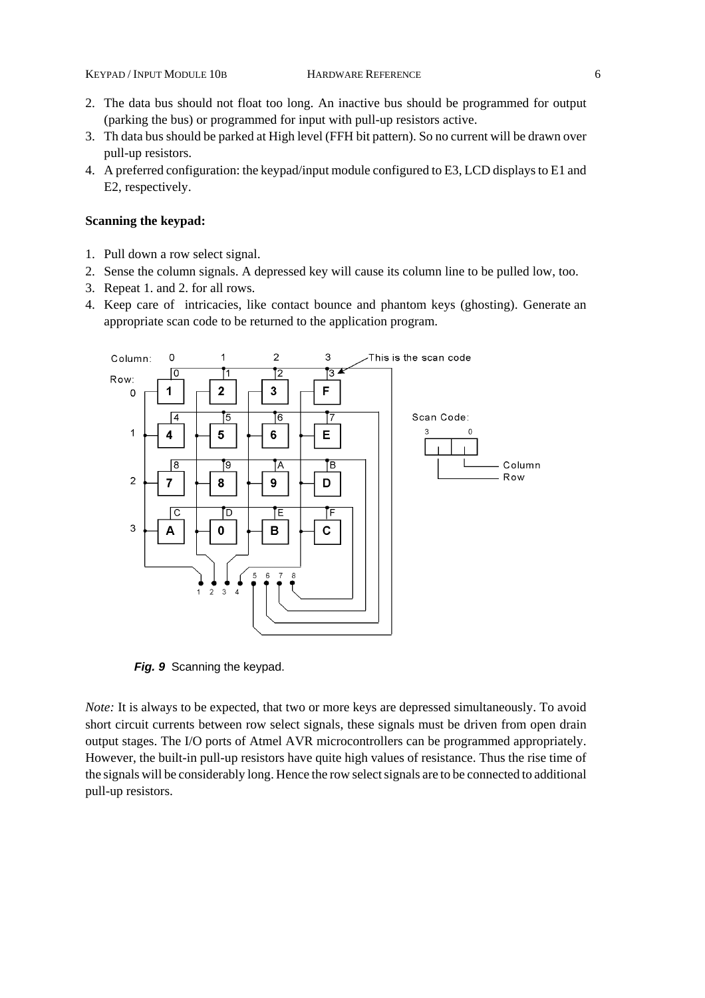- 2. The data bus should not float too long. An inactive bus should be programmed for output (parking the bus) or programmed for input with pull-up resistors active.
- 3. Th data bus should be parked at High level (FFH bit pattern). So no current will be drawn over pull-up resistors.
- 4. A preferred configuration: the keypad/input module configured to E3, LCD displays to E1 and E2, respectively.

#### **Scanning the keypad:**

- 1. Pull down a row select signal.
- 2. Sense the column signals. A depressed key will cause its column line to be pulled low, too.
- 3. Repeat 1. and 2. for all rows.
- 4. Keep care of intricacies, like contact bounce and phantom keys (ghosting). Generate an appropriate scan code to be returned to the application program.



*Fig. 9* Scanning the keypad.

*Note:* It is always to be expected, that two or more keys are depressed simultaneously. To avoid short circuit currents between row select signals, these signals must be driven from open drain output stages. The I/O ports of Atmel AVR microcontrollers can be programmed appropriately. However, the built-in pull-up resistors have quite high values of resistance. Thus the rise time of the signals will be considerably long. Hence the row select signals are to be connected to additional pull-up resistors.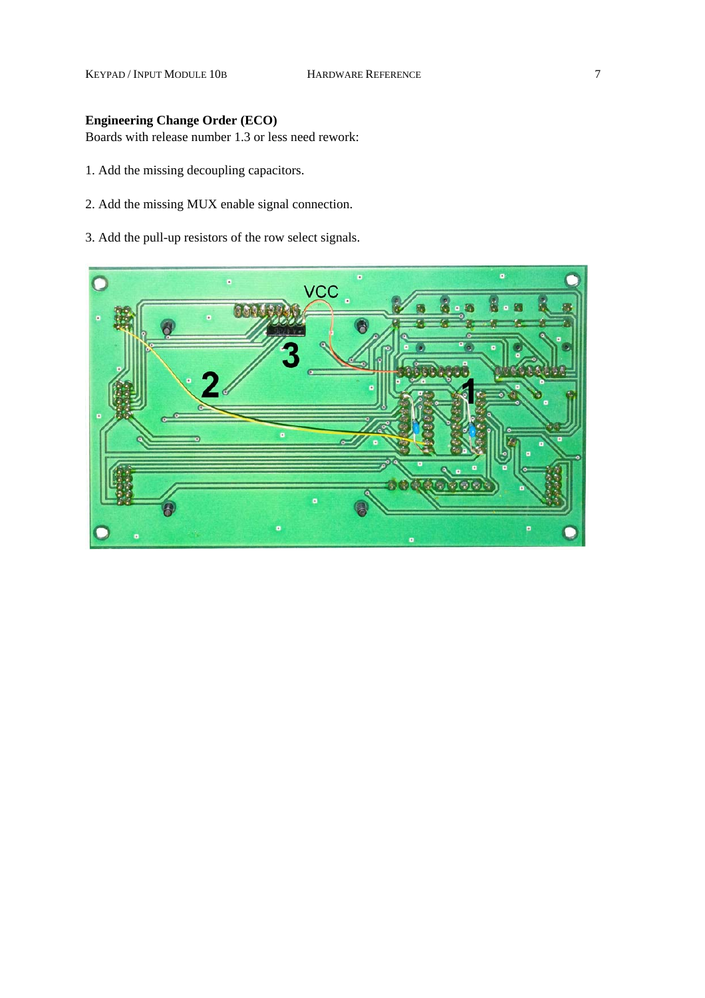KEYPAD / INPUT MODULE 10B HARDWARE REFERENCE 7

# **Engineering Change Order (ECO)**

Boards with release number 1.3 or less need rework:

- 1. Add the missing decoupling capacitors.
- 2. Add the missing MUX enable signal connection.
- 3. Add the pull-up resistors of the row select signals.